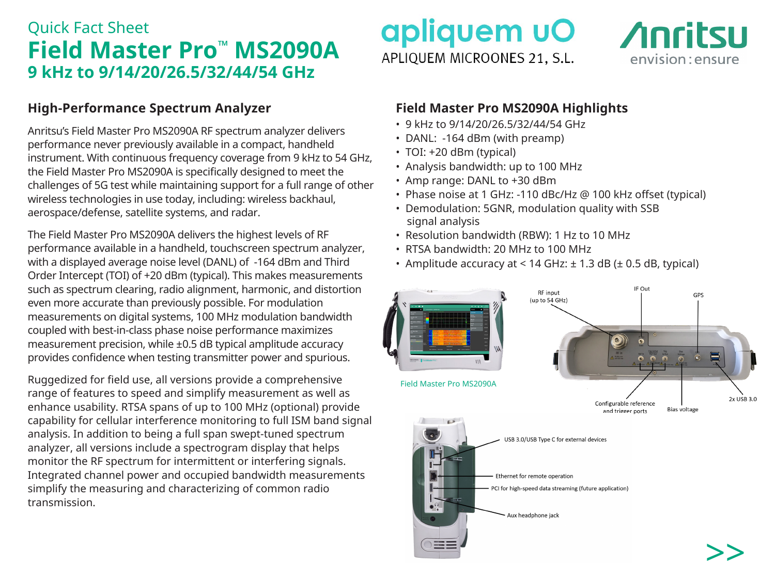## Quick Fact Sheet **Field Master Pro™ MS2090A 9 kHz to 9/14/20/26.5/32/44/54 GHz**

### **High-Performance Spectrum Analyzer**

Anritsu's Field Master Pro MS2090A RF spectrum analyzer delivers performance never previously available in a compact, handheld instrument. With continuous frequency coverage from 9 kHz to 54 GHz, the Field Master Pro MS2090A is specifically designed to meet the challenges of 5G test while maintaining support for a full range of other wireless technologies in use today, including: wireless backhaul, aerospace/defense, satellite systems, and radar.

The Field Master Pro MS2090A delivers the highest levels of RF performance available in a handheld, touchscreen spectrum analyzer, with a displayed average noise level (DANL) of -164 dBm and Third Order Intercept (TOI) of +20 dBm (typical). This makes measurements such as spectrum clearing, radio alignment, harmonic, and distortion even more accurate than previously possible. For modulation measurements on digital systems, 100 MHz modulation bandwidth coupled with best-in-class phase noise performance maximizes measurement precision, while ±0.5 dB typical amplitude accuracy provides confidence when testing transmitter power and spurious.

Ruggedized for field use, all versions provide a comprehensive range of features to speed and simplify measurement as well as enhance usability. RTSA spans of up to 100 MHz (optional) provide capability for cellular interference monitoring to full ISM band signal analysis. In addition to being a full span swept-tuned spectrum analyzer, all versions include a spectrogram display that helps monitor the RF spectrum for intermittent or interfering signals. Integrated channel power and occupied bandwidth measurements simplify the measuring and characterizing of common radio transmission.

# apliquem uO APLIOUEM MICROONES 21, S.L.



### **Field Master Pro MS2090A Highlights**

- 9 kHz to 9/14/20/26.5/32/44/54 GHz
- DANL: -164 dBm (with preamp)
- TOI: +20 dBm (typical)
- Analysis bandwidth: up to 100 MHz
- Amp range: DANL to +30 dBm
- Phase noise at 1 GHz: -110 dBc/Hz @ 100 kHz offset (typical)
- Demodulation: 5GNR, modulation quality with SSB signal analysis
- Resolution bandwidth (RBW): 1 Hz to 10 MHz
- RTSA bandwidth: 20 MHz to 100 MHz
- Amplitude accuracy at  $< 14$  GHz:  $\pm 1.3$  dB ( $\pm 0.5$  dB, typical)